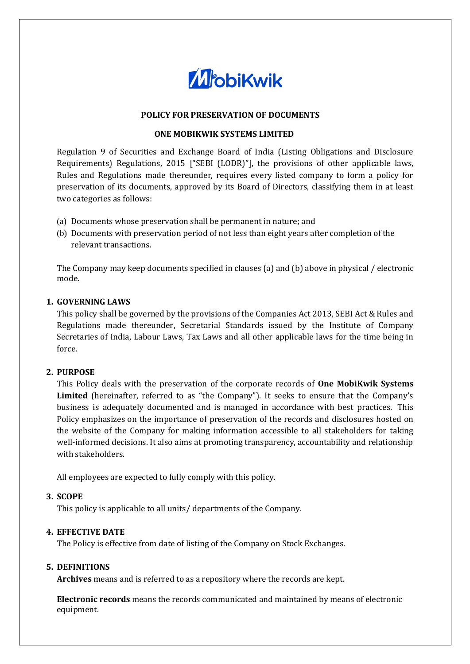

# **POLICY FOR PRESERVATION OF DOCUMENTS**

#### **ONE MOBIKWIK SYSTEMS LIMITED**

Regulation 9 of Securities and Exchange Board of India (Listing Obligations and Disclosure Requirements) Regulations, 2015 ["SEBI (LODR)"], the provisions of other applicable laws, Rules and Regulations made thereunder, requires every listed company to form a policy for preservation of its documents, approved by its Board of Directors, classifying them in at least two categories as follows:

- (a) Documents whose preservation shall be permanent in nature; and
- (b) Documents with preservation period of not less than eight years after completion of the relevant transactions.

The Company may keep documents specified in clauses (a) and (b) above in physical / electronic mode.

#### **1. GOVERNING LAWS**

This policy shall be governed by the provisions of the Companies Act 2013, SEBI Act & Rules and Regulations made thereunder, Secretarial Standards issued by the Institute of Company Secretaries of India, Labour Laws, Tax Laws and all other applicable laws for the time being in force.

# **2. PURPOSE**

This Policy deals with the preservation of the corporate records of **One MobiKwik Systems Limited** (hereinafter, referred to as "the Company"). It seeks to ensure that the Company's business is adequately documented and is managed in accordance with best practices. This Policy emphasizes on the importance of preservation of the records and disclosures hosted on the website of the Company for making information accessible to all stakeholders for taking well-informed decisions. It also aims at promoting transparency, accountability and relationship with stakeholders.

All employees are expected to fully comply with this policy.

# **3. SCOPE**

This policy is applicable to all units/ departments of the Company.

# **4. EFFECTIVE DATE**

The Policy is effective from date of listing of the Company on Stock Exchanges.

#### **5. DEFINITIONS**

**Archives** means and is referred to as a repository where the records are kept.

**Electronic records** means the records communicated and maintained by means of electronic equipment.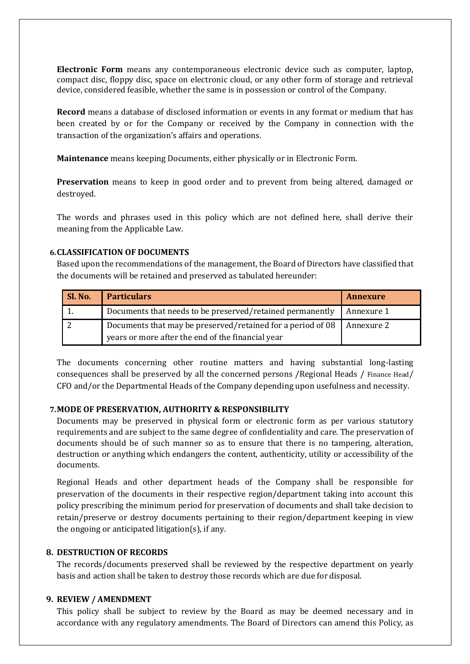**Electronic Form** means any contemporaneous electronic device such as computer, laptop, compact disc, floppy disc, space on electronic cloud, or any other form of storage and retrieval device, considered feasible, whether the same is in possession or control of the Company.

**Record** means a database of disclosed information or events in any format or medium that has been created by or for the Company or received by the Company in connection with the transaction of the organization's affairs and operations.

**Maintenance** means keeping Documents, either physically or in Electronic Form.

**Preservation** means to keep in good order and to prevent from being altered, damaged or destroyed.

The words and phrases used in this policy which are not defined here, shall derive their meaning from the Applicable Law.

# **6.CLASSIFICATION OF DOCUMENTS**

Based upon the recommendations of the management, the Board of Directors have classified that the documents will be retained and preserved as tabulated hereunder:

| Sl. No. | <b>Particulars</b>                                                                                               | <b>Annexure</b> |
|---------|------------------------------------------------------------------------------------------------------------------|-----------------|
|         | Documents that needs to be preserved/retained permanently                                                        | Annexure 1      |
|         | Documents that may be preserved/retained for a period of 08<br>years or more after the end of the financial year | Annexure 2      |

The documents concerning other routine matters and having substantial long-lasting consequences shall be preserved by all the concerned persons /Regional Heads / Finance Head/ CFO and/or the Departmental Heads of the Company depending upon usefulness and necessity.

# **7.MODE OF PRESERVATION, AUTHORITY & RESPONSIBILITY**

Documents may be preserved in physical form or electronic form as per various statutory requirements and are subject to the same degree of confidentiality and care. The preservation of documents should be of such manner so as to ensure that there is no tampering, alteration, destruction or anything which endangers the content, authenticity, utility or accessibility of the documents.

Regional Heads and other department heads of the Company shall be responsible for preservation of the documents in their respective region/department taking into account this policy prescribing the minimum period for preservation of documents and shall take decision to retain/preserve or destroy documents pertaining to their region/department keeping in view the ongoing or anticipated litigation(s), if any.

#### **8. DESTRUCTION OF RECORDS**

The records/documents preserved shall be reviewed by the respective department on yearly basis and action shall be taken to destroy those records which are due for disposal.

# **9. REVIEW / AMENDMENT**

This policy shall be subject to review by the Board as may be deemed necessary and in accordance with any regulatory amendments. The Board of Directors can amend this Policy, as